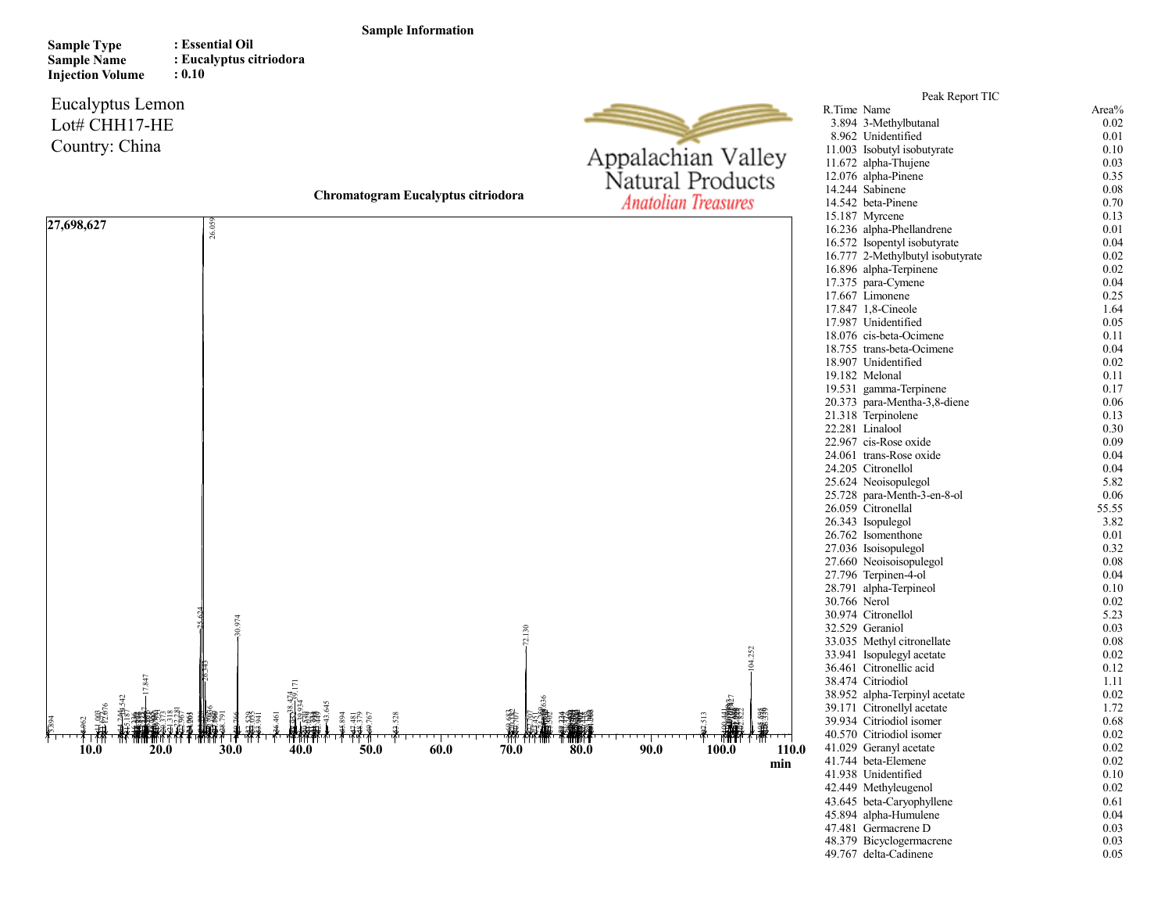## Sample Information

Sample Type Sample Name Injection Volume : Essential Oil : Eucalyptus citriodora : 0.10

## Eucalyptus Lemon Lot# CHH17-HE Country: China



Chromatogram Eucalyptus citriodora min 27,698,627 27.17.17.17.18.42.7<br>  $\frac{1}{2}$ <br>  $\frac{1}{2}$ <br>  $\frac{1}{2}$ <br>  $\frac{1}{2}$ <br>  $\frac{1}{2}$ <br>  $\frac{1}{2}$ <br>  $\frac{1}{2}$ <br>  $\frac{1}{2}$ <br>  $\frac{1}{2}$ <br>  $\frac{1}{2}$ <br>  $\frac{1}{2}$ <br>  $\frac{1}{2}$ <br>  $\frac{1}{2}$ <br>  $\frac{1}{2}$ <br>  $\frac{1}{2}$ <br>  $\frac{1}{2}$ <br>  $\frac{1}{2}$ <br>  $\frac{1}{2}$ <br>  $\$ 

| Area%<br>R.Time Name<br>3.894 3-Methylbutanal<br>0.02<br>8.962 Unidentified<br>0.01<br>11.003 Isobutyl isobutyrate<br>0.10<br>11.672 alpha-Thujene<br>0.03<br>12.076 alpha-Pinene<br>0.35<br>14.244 Sabinene<br>0.08<br>14.542 beta-Pinene<br>0.70<br>15.187 Myrcene<br>0.13<br>16.236 alpha-Phellandrene<br>0.01<br>16.572 Isopentyl isobutyrate<br>0.04<br>16.777 2-Methylbutyl isobutyrate<br>0.02<br>16.896 alpha-Terpinene<br>0.02<br>17.375 para-Cymene<br>0.04<br>17.667 Limonene<br>0.25<br>17.847 1,8-Cineole<br>1.64<br>17.987 Unidentified<br>0.05<br>18.076 cis-beta-Ocimene<br>0.11<br>18.755 trans-beta-Ocimene<br>0.04<br>18.907 Unidentified<br>0.02<br>19.182 Melonal<br>0.11<br>19.531 gamma-Terpinene<br>0.17<br>20.373 para-Mentha-3,8-diene<br>0.06<br>21.318 Terpinolene<br>0.13<br>22.281 Linalool<br>0.30<br>22.967 cis-Rose oxide<br>0.09<br>24.061 trans-Rose oxide<br>0.04<br>24.205 Citronellol<br>0.04<br>25.624 Neoisopulegol<br>5.82<br>25.728 para-Menth-3-en-8-ol<br>0.06<br>26.059 Citronellal<br>55.55<br>26.343 Isopulegol<br>3.82<br>26.762 Isomenthone<br>0.01<br>27.036 Isoisopulegol<br>0.32<br>27.660 Neoisoisopulegol<br>0.08<br>27.796 Terpinen-4-ol<br>0.04<br>28.791 alpha-Terpineol<br>0.10<br>30.766 Nerol<br>0.02<br>30.974 Citronellol<br>5.23<br>32.529 Geraniol<br>0.03<br>33.035 Methyl citronellate<br>0.08<br>33.941 Isopulegyl acetate<br>0.02<br>36.461 Citronellic acid<br>0.12<br>38.474 Citriodiol<br>1.11<br>38.952 alpha-Terpinyl acetate<br>0.02<br>39.171 Citronellyl acetate<br>1.72<br>39.934 Citriodiol isomer<br>0.68<br>40.570 Citriodiol isomer<br>0.02<br>0.02<br>41.029 Geranyl acetate<br>41.744 beta-Elemene<br>0.02<br>41.938 Unidentified<br>0.10<br>42.449 Methyleugenol<br>0.02<br>43.645 beta-Caryophyllene<br>0.61<br>45.894 alpha-Humulene<br>0.04<br>47.481<br>Germacrene D<br>0.03<br>48.379 Bicyclogermacrene<br>0.03<br>49.767 delta-Cadinene<br>0.05 | Peak Report TIC |  |
|-------------------------------------------------------------------------------------------------------------------------------------------------------------------------------------------------------------------------------------------------------------------------------------------------------------------------------------------------------------------------------------------------------------------------------------------------------------------------------------------------------------------------------------------------------------------------------------------------------------------------------------------------------------------------------------------------------------------------------------------------------------------------------------------------------------------------------------------------------------------------------------------------------------------------------------------------------------------------------------------------------------------------------------------------------------------------------------------------------------------------------------------------------------------------------------------------------------------------------------------------------------------------------------------------------------------------------------------------------------------------------------------------------------------------------------------------------------------------------------------------------------------------------------------------------------------------------------------------------------------------------------------------------------------------------------------------------------------------------------------------------------------------------------------------------------------------------------------------------------------------------------------------------------------------------------------|-----------------|--|
|                                                                                                                                                                                                                                                                                                                                                                                                                                                                                                                                                                                                                                                                                                                                                                                                                                                                                                                                                                                                                                                                                                                                                                                                                                                                                                                                                                                                                                                                                                                                                                                                                                                                                                                                                                                                                                                                                                                                           |                 |  |
|                                                                                                                                                                                                                                                                                                                                                                                                                                                                                                                                                                                                                                                                                                                                                                                                                                                                                                                                                                                                                                                                                                                                                                                                                                                                                                                                                                                                                                                                                                                                                                                                                                                                                                                                                                                                                                                                                                                                           |                 |  |
|                                                                                                                                                                                                                                                                                                                                                                                                                                                                                                                                                                                                                                                                                                                                                                                                                                                                                                                                                                                                                                                                                                                                                                                                                                                                                                                                                                                                                                                                                                                                                                                                                                                                                                                                                                                                                                                                                                                                           |                 |  |
|                                                                                                                                                                                                                                                                                                                                                                                                                                                                                                                                                                                                                                                                                                                                                                                                                                                                                                                                                                                                                                                                                                                                                                                                                                                                                                                                                                                                                                                                                                                                                                                                                                                                                                                                                                                                                                                                                                                                           |                 |  |
|                                                                                                                                                                                                                                                                                                                                                                                                                                                                                                                                                                                                                                                                                                                                                                                                                                                                                                                                                                                                                                                                                                                                                                                                                                                                                                                                                                                                                                                                                                                                                                                                                                                                                                                                                                                                                                                                                                                                           |                 |  |
|                                                                                                                                                                                                                                                                                                                                                                                                                                                                                                                                                                                                                                                                                                                                                                                                                                                                                                                                                                                                                                                                                                                                                                                                                                                                                                                                                                                                                                                                                                                                                                                                                                                                                                                                                                                                                                                                                                                                           |                 |  |
|                                                                                                                                                                                                                                                                                                                                                                                                                                                                                                                                                                                                                                                                                                                                                                                                                                                                                                                                                                                                                                                                                                                                                                                                                                                                                                                                                                                                                                                                                                                                                                                                                                                                                                                                                                                                                                                                                                                                           |                 |  |
|                                                                                                                                                                                                                                                                                                                                                                                                                                                                                                                                                                                                                                                                                                                                                                                                                                                                                                                                                                                                                                                                                                                                                                                                                                                                                                                                                                                                                                                                                                                                                                                                                                                                                                                                                                                                                                                                                                                                           |                 |  |
|                                                                                                                                                                                                                                                                                                                                                                                                                                                                                                                                                                                                                                                                                                                                                                                                                                                                                                                                                                                                                                                                                                                                                                                                                                                                                                                                                                                                                                                                                                                                                                                                                                                                                                                                                                                                                                                                                                                                           |                 |  |
|                                                                                                                                                                                                                                                                                                                                                                                                                                                                                                                                                                                                                                                                                                                                                                                                                                                                                                                                                                                                                                                                                                                                                                                                                                                                                                                                                                                                                                                                                                                                                                                                                                                                                                                                                                                                                                                                                                                                           |                 |  |
|                                                                                                                                                                                                                                                                                                                                                                                                                                                                                                                                                                                                                                                                                                                                                                                                                                                                                                                                                                                                                                                                                                                                                                                                                                                                                                                                                                                                                                                                                                                                                                                                                                                                                                                                                                                                                                                                                                                                           |                 |  |
|                                                                                                                                                                                                                                                                                                                                                                                                                                                                                                                                                                                                                                                                                                                                                                                                                                                                                                                                                                                                                                                                                                                                                                                                                                                                                                                                                                                                                                                                                                                                                                                                                                                                                                                                                                                                                                                                                                                                           |                 |  |
|                                                                                                                                                                                                                                                                                                                                                                                                                                                                                                                                                                                                                                                                                                                                                                                                                                                                                                                                                                                                                                                                                                                                                                                                                                                                                                                                                                                                                                                                                                                                                                                                                                                                                                                                                                                                                                                                                                                                           |                 |  |
|                                                                                                                                                                                                                                                                                                                                                                                                                                                                                                                                                                                                                                                                                                                                                                                                                                                                                                                                                                                                                                                                                                                                                                                                                                                                                                                                                                                                                                                                                                                                                                                                                                                                                                                                                                                                                                                                                                                                           |                 |  |
|                                                                                                                                                                                                                                                                                                                                                                                                                                                                                                                                                                                                                                                                                                                                                                                                                                                                                                                                                                                                                                                                                                                                                                                                                                                                                                                                                                                                                                                                                                                                                                                                                                                                                                                                                                                                                                                                                                                                           |                 |  |
|                                                                                                                                                                                                                                                                                                                                                                                                                                                                                                                                                                                                                                                                                                                                                                                                                                                                                                                                                                                                                                                                                                                                                                                                                                                                                                                                                                                                                                                                                                                                                                                                                                                                                                                                                                                                                                                                                                                                           |                 |  |
|                                                                                                                                                                                                                                                                                                                                                                                                                                                                                                                                                                                                                                                                                                                                                                                                                                                                                                                                                                                                                                                                                                                                                                                                                                                                                                                                                                                                                                                                                                                                                                                                                                                                                                                                                                                                                                                                                                                                           |                 |  |
|                                                                                                                                                                                                                                                                                                                                                                                                                                                                                                                                                                                                                                                                                                                                                                                                                                                                                                                                                                                                                                                                                                                                                                                                                                                                                                                                                                                                                                                                                                                                                                                                                                                                                                                                                                                                                                                                                                                                           |                 |  |
|                                                                                                                                                                                                                                                                                                                                                                                                                                                                                                                                                                                                                                                                                                                                                                                                                                                                                                                                                                                                                                                                                                                                                                                                                                                                                                                                                                                                                                                                                                                                                                                                                                                                                                                                                                                                                                                                                                                                           |                 |  |
|                                                                                                                                                                                                                                                                                                                                                                                                                                                                                                                                                                                                                                                                                                                                                                                                                                                                                                                                                                                                                                                                                                                                                                                                                                                                                                                                                                                                                                                                                                                                                                                                                                                                                                                                                                                                                                                                                                                                           |                 |  |
|                                                                                                                                                                                                                                                                                                                                                                                                                                                                                                                                                                                                                                                                                                                                                                                                                                                                                                                                                                                                                                                                                                                                                                                                                                                                                                                                                                                                                                                                                                                                                                                                                                                                                                                                                                                                                                                                                                                                           |                 |  |
|                                                                                                                                                                                                                                                                                                                                                                                                                                                                                                                                                                                                                                                                                                                                                                                                                                                                                                                                                                                                                                                                                                                                                                                                                                                                                                                                                                                                                                                                                                                                                                                                                                                                                                                                                                                                                                                                                                                                           |                 |  |
|                                                                                                                                                                                                                                                                                                                                                                                                                                                                                                                                                                                                                                                                                                                                                                                                                                                                                                                                                                                                                                                                                                                                                                                                                                                                                                                                                                                                                                                                                                                                                                                                                                                                                                                                                                                                                                                                                                                                           |                 |  |
|                                                                                                                                                                                                                                                                                                                                                                                                                                                                                                                                                                                                                                                                                                                                                                                                                                                                                                                                                                                                                                                                                                                                                                                                                                                                                                                                                                                                                                                                                                                                                                                                                                                                                                                                                                                                                                                                                                                                           |                 |  |
|                                                                                                                                                                                                                                                                                                                                                                                                                                                                                                                                                                                                                                                                                                                                                                                                                                                                                                                                                                                                                                                                                                                                                                                                                                                                                                                                                                                                                                                                                                                                                                                                                                                                                                                                                                                                                                                                                                                                           |                 |  |
|                                                                                                                                                                                                                                                                                                                                                                                                                                                                                                                                                                                                                                                                                                                                                                                                                                                                                                                                                                                                                                                                                                                                                                                                                                                                                                                                                                                                                                                                                                                                                                                                                                                                                                                                                                                                                                                                                                                                           |                 |  |
|                                                                                                                                                                                                                                                                                                                                                                                                                                                                                                                                                                                                                                                                                                                                                                                                                                                                                                                                                                                                                                                                                                                                                                                                                                                                                                                                                                                                                                                                                                                                                                                                                                                                                                                                                                                                                                                                                                                                           |                 |  |
|                                                                                                                                                                                                                                                                                                                                                                                                                                                                                                                                                                                                                                                                                                                                                                                                                                                                                                                                                                                                                                                                                                                                                                                                                                                                                                                                                                                                                                                                                                                                                                                                                                                                                                                                                                                                                                                                                                                                           |                 |  |
|                                                                                                                                                                                                                                                                                                                                                                                                                                                                                                                                                                                                                                                                                                                                                                                                                                                                                                                                                                                                                                                                                                                                                                                                                                                                                                                                                                                                                                                                                                                                                                                                                                                                                                                                                                                                                                                                                                                                           |                 |  |
|                                                                                                                                                                                                                                                                                                                                                                                                                                                                                                                                                                                                                                                                                                                                                                                                                                                                                                                                                                                                                                                                                                                                                                                                                                                                                                                                                                                                                                                                                                                                                                                                                                                                                                                                                                                                                                                                                                                                           |                 |  |
|                                                                                                                                                                                                                                                                                                                                                                                                                                                                                                                                                                                                                                                                                                                                                                                                                                                                                                                                                                                                                                                                                                                                                                                                                                                                                                                                                                                                                                                                                                                                                                                                                                                                                                                                                                                                                                                                                                                                           |                 |  |
|                                                                                                                                                                                                                                                                                                                                                                                                                                                                                                                                                                                                                                                                                                                                                                                                                                                                                                                                                                                                                                                                                                                                                                                                                                                                                                                                                                                                                                                                                                                                                                                                                                                                                                                                                                                                                                                                                                                                           |                 |  |
|                                                                                                                                                                                                                                                                                                                                                                                                                                                                                                                                                                                                                                                                                                                                                                                                                                                                                                                                                                                                                                                                                                                                                                                                                                                                                                                                                                                                                                                                                                                                                                                                                                                                                                                                                                                                                                                                                                                                           |                 |  |
|                                                                                                                                                                                                                                                                                                                                                                                                                                                                                                                                                                                                                                                                                                                                                                                                                                                                                                                                                                                                                                                                                                                                                                                                                                                                                                                                                                                                                                                                                                                                                                                                                                                                                                                                                                                                                                                                                                                                           |                 |  |
|                                                                                                                                                                                                                                                                                                                                                                                                                                                                                                                                                                                                                                                                                                                                                                                                                                                                                                                                                                                                                                                                                                                                                                                                                                                                                                                                                                                                                                                                                                                                                                                                                                                                                                                                                                                                                                                                                                                                           |                 |  |
|                                                                                                                                                                                                                                                                                                                                                                                                                                                                                                                                                                                                                                                                                                                                                                                                                                                                                                                                                                                                                                                                                                                                                                                                                                                                                                                                                                                                                                                                                                                                                                                                                                                                                                                                                                                                                                                                                                                                           |                 |  |
|                                                                                                                                                                                                                                                                                                                                                                                                                                                                                                                                                                                                                                                                                                                                                                                                                                                                                                                                                                                                                                                                                                                                                                                                                                                                                                                                                                                                                                                                                                                                                                                                                                                                                                                                                                                                                                                                                                                                           |                 |  |
|                                                                                                                                                                                                                                                                                                                                                                                                                                                                                                                                                                                                                                                                                                                                                                                                                                                                                                                                                                                                                                                                                                                                                                                                                                                                                                                                                                                                                                                                                                                                                                                                                                                                                                                                                                                                                                                                                                                                           |                 |  |
|                                                                                                                                                                                                                                                                                                                                                                                                                                                                                                                                                                                                                                                                                                                                                                                                                                                                                                                                                                                                                                                                                                                                                                                                                                                                                                                                                                                                                                                                                                                                                                                                                                                                                                                                                                                                                                                                                                                                           |                 |  |
|                                                                                                                                                                                                                                                                                                                                                                                                                                                                                                                                                                                                                                                                                                                                                                                                                                                                                                                                                                                                                                                                                                                                                                                                                                                                                                                                                                                                                                                                                                                                                                                                                                                                                                                                                                                                                                                                                                                                           |                 |  |
|                                                                                                                                                                                                                                                                                                                                                                                                                                                                                                                                                                                                                                                                                                                                                                                                                                                                                                                                                                                                                                                                                                                                                                                                                                                                                                                                                                                                                                                                                                                                                                                                                                                                                                                                                                                                                                                                                                                                           |                 |  |
|                                                                                                                                                                                                                                                                                                                                                                                                                                                                                                                                                                                                                                                                                                                                                                                                                                                                                                                                                                                                                                                                                                                                                                                                                                                                                                                                                                                                                                                                                                                                                                                                                                                                                                                                                                                                                                                                                                                                           |                 |  |
|                                                                                                                                                                                                                                                                                                                                                                                                                                                                                                                                                                                                                                                                                                                                                                                                                                                                                                                                                                                                                                                                                                                                                                                                                                                                                                                                                                                                                                                                                                                                                                                                                                                                                                                                                                                                                                                                                                                                           |                 |  |
|                                                                                                                                                                                                                                                                                                                                                                                                                                                                                                                                                                                                                                                                                                                                                                                                                                                                                                                                                                                                                                                                                                                                                                                                                                                                                                                                                                                                                                                                                                                                                                                                                                                                                                                                                                                                                                                                                                                                           |                 |  |
|                                                                                                                                                                                                                                                                                                                                                                                                                                                                                                                                                                                                                                                                                                                                                                                                                                                                                                                                                                                                                                                                                                                                                                                                                                                                                                                                                                                                                                                                                                                                                                                                                                                                                                                                                                                                                                                                                                                                           |                 |  |
|                                                                                                                                                                                                                                                                                                                                                                                                                                                                                                                                                                                                                                                                                                                                                                                                                                                                                                                                                                                                                                                                                                                                                                                                                                                                                                                                                                                                                                                                                                                                                                                                                                                                                                                                                                                                                                                                                                                                           |                 |  |
|                                                                                                                                                                                                                                                                                                                                                                                                                                                                                                                                                                                                                                                                                                                                                                                                                                                                                                                                                                                                                                                                                                                                                                                                                                                                                                                                                                                                                                                                                                                                                                                                                                                                                                                                                                                                                                                                                                                                           |                 |  |
|                                                                                                                                                                                                                                                                                                                                                                                                                                                                                                                                                                                                                                                                                                                                                                                                                                                                                                                                                                                                                                                                                                                                                                                                                                                                                                                                                                                                                                                                                                                                                                                                                                                                                                                                                                                                                                                                                                                                           |                 |  |
|                                                                                                                                                                                                                                                                                                                                                                                                                                                                                                                                                                                                                                                                                                                                                                                                                                                                                                                                                                                                                                                                                                                                                                                                                                                                                                                                                                                                                                                                                                                                                                                                                                                                                                                                                                                                                                                                                                                                           |                 |  |
|                                                                                                                                                                                                                                                                                                                                                                                                                                                                                                                                                                                                                                                                                                                                                                                                                                                                                                                                                                                                                                                                                                                                                                                                                                                                                                                                                                                                                                                                                                                                                                                                                                                                                                                                                                                                                                                                                                                                           |                 |  |
|                                                                                                                                                                                                                                                                                                                                                                                                                                                                                                                                                                                                                                                                                                                                                                                                                                                                                                                                                                                                                                                                                                                                                                                                                                                                                                                                                                                                                                                                                                                                                                                                                                                                                                                                                                                                                                                                                                                                           |                 |  |
|                                                                                                                                                                                                                                                                                                                                                                                                                                                                                                                                                                                                                                                                                                                                                                                                                                                                                                                                                                                                                                                                                                                                                                                                                                                                                                                                                                                                                                                                                                                                                                                                                                                                                                                                                                                                                                                                                                                                           |                 |  |
|                                                                                                                                                                                                                                                                                                                                                                                                                                                                                                                                                                                                                                                                                                                                                                                                                                                                                                                                                                                                                                                                                                                                                                                                                                                                                                                                                                                                                                                                                                                                                                                                                                                                                                                                                                                                                                                                                                                                           |                 |  |
|                                                                                                                                                                                                                                                                                                                                                                                                                                                                                                                                                                                                                                                                                                                                                                                                                                                                                                                                                                                                                                                                                                                                                                                                                                                                                                                                                                                                                                                                                                                                                                                                                                                                                                                                                                                                                                                                                                                                           |                 |  |
|                                                                                                                                                                                                                                                                                                                                                                                                                                                                                                                                                                                                                                                                                                                                                                                                                                                                                                                                                                                                                                                                                                                                                                                                                                                                                                                                                                                                                                                                                                                                                                                                                                                                                                                                                                                                                                                                                                                                           |                 |  |
|                                                                                                                                                                                                                                                                                                                                                                                                                                                                                                                                                                                                                                                                                                                                                                                                                                                                                                                                                                                                                                                                                                                                                                                                                                                                                                                                                                                                                                                                                                                                                                                                                                                                                                                                                                                                                                                                                                                                           |                 |  |
|                                                                                                                                                                                                                                                                                                                                                                                                                                                                                                                                                                                                                                                                                                                                                                                                                                                                                                                                                                                                                                                                                                                                                                                                                                                                                                                                                                                                                                                                                                                                                                                                                                                                                                                                                                                                                                                                                                                                           |                 |  |